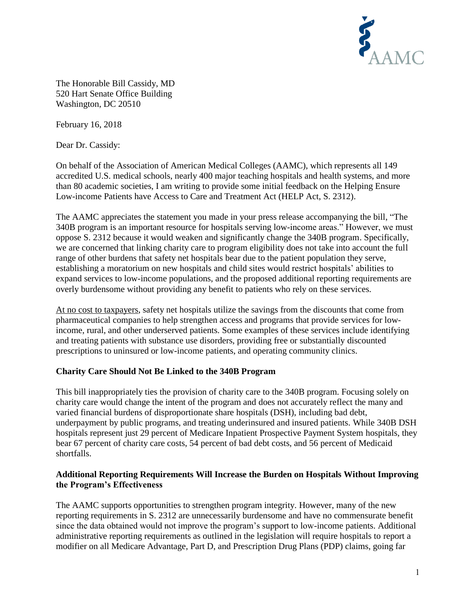

The Honorable Bill Cassidy, MD 520 Hart Senate Office Building Washington, DC 20510

February 16, 2018

Dear Dr. Cassidy:

On behalf of the Association of American Medical Colleges (AAMC), which represents all 149 accredited U.S. medical schools, nearly 400 major teaching hospitals and health systems, and more than 80 academic societies, I am writing to provide some initial feedback on the Helping Ensure Low-income Patients have Access to Care and Treatment Act (HELP Act, S. 2312).

The AAMC appreciates the statement you made in your press release accompanying the bill, "The 340B program is an important resource for hospitals serving low-income areas." However, we must oppose S. 2312 because it would weaken and significantly change the 340B program. Specifically, we are concerned that linking charity care to program eligibility does not take into account the full range of other burdens that safety net hospitals bear due to the patient population they serve, establishing a moratorium on new hospitals and child sites would restrict hospitals' abilities to expand services to low-income populations, and the proposed additional reporting requirements are overly burdensome without providing any benefit to patients who rely on these services.

At no cost to taxpayers, safety net hospitals utilize the savings from the discounts that come from pharmaceutical companies to help strengthen access and programs that provide services for lowincome, rural, and other underserved patients. Some examples of these services include identifying and treating patients with substance use disorders, providing free or substantially discounted prescriptions to uninsured or low-income patients, and operating community clinics.

## **Charity Care Should Not Be Linked to the 340B Program**

This bill inappropriately ties the provision of charity care to the 340B program. Focusing solely on charity care would change the intent of the program and does not accurately reflect the many and varied financial burdens of disproportionate share hospitals (DSH), including bad debt, underpayment by public programs, and treating underinsured and insured patients. While 340B DSH hospitals represent just 29 percent of Medicare Inpatient Prospective Payment System hospitals, they bear 67 percent of charity care costs, 54 percent of bad debt costs, and 56 percent of Medicaid shortfalls.

## **Additional Reporting Requirements Will Increase the Burden on Hospitals Without Improving the Program's Effectiveness**

The AAMC supports opportunities to strengthen program integrity. However, many of the new reporting requirements in S. 2312 are unnecessarily burdensome and have no commensurate benefit since the data obtained would not improve the program's support to low-income patients. Additional administrative reporting requirements as outlined in the legislation will require hospitals to report a modifier on all Medicare Advantage, Part D, and Prescription Drug Plans (PDP) claims, going far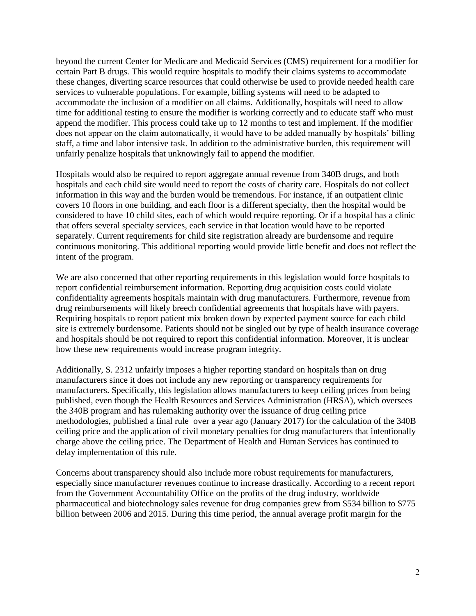beyond the current Center for Medicare and Medicaid Services (CMS) requirement for a modifier for certain Part B drugs. This would require hospitals to modify their claims systems to accommodate these changes, diverting scarce resources that could otherwise be used to provide needed health care services to vulnerable populations. For example, billing systems will need to be adapted to accommodate the inclusion of a modifier on all claims. Additionally, hospitals will need to allow time for additional testing to ensure the modifier is working correctly and to educate staff who must append the modifier. This process could take up to 12 months to test and implement. If the modifier does not appear on the claim automatically, it would have to be added manually by hospitals' billing staff, a time and labor intensive task. In addition to the administrative burden, this requirement will unfairly penalize hospitals that unknowingly fail to append the modifier.

Hospitals would also be required to report aggregate annual revenue from 340B drugs, and both hospitals and each child site would need to report the costs of charity care. Hospitals do not collect information in this way and the burden would be tremendous. For instance, if an outpatient clinic covers 10 floors in one building, and each floor is a different specialty, then the hospital would be considered to have 10 child sites, each of which would require reporting. Or if a hospital has a clinic that offers several specialty services, each service in that location would have to be reported separately. Current requirements for child site registration already are burdensome and require continuous monitoring. This additional reporting would provide little benefit and does not reflect the intent of the program.

We are also concerned that other reporting requirements in this legislation would force hospitals to report confidential reimbursement information. Reporting drug acquisition costs could violate confidentiality agreements hospitals maintain with drug manufacturers. Furthermore, revenue from drug reimbursements will likely breech confidential agreements that hospitals have with payers. Requiring hospitals to report patient mix broken down by expected payment source for each child site is extremely burdensome. Patients should not be singled out by type of health insurance coverage and hospitals should be not required to report this confidential information. Moreover, it is unclear how these new requirements would increase program integrity.

Additionally, S. 2312 unfairly imposes a higher reporting standard on hospitals than on drug manufacturers since it does not include any new reporting or transparency requirements for manufacturers. Specifically, this legislation allows manufacturers to keep ceiling prices from being published, even though the Health Resources and Services Administration (HRSA), which oversees the 340B program and has rulemaking authority over the issuance of drug ceiling price methodologies, published a final rule over a year ago (January 2017) for the calculation of the 340B ceiling price and the application of civil monetary penalties for drug manufacturers that intentionally charge above the ceiling price. The Department of Health and Human Services has continued to delay implementation of this rule.

Concerns about transparency should also include more robust requirements for manufacturers, especially since manufacturer revenues continue to increase drastically. According to a recent report from the Government Accountability Office on the profits of the drug industry, worldwide pharmaceutical and biotechnology sales revenue for drug companies grew from \$534 billion to \$775 billion between 2006 and 2015. During this time period, the annual average profit margin for the